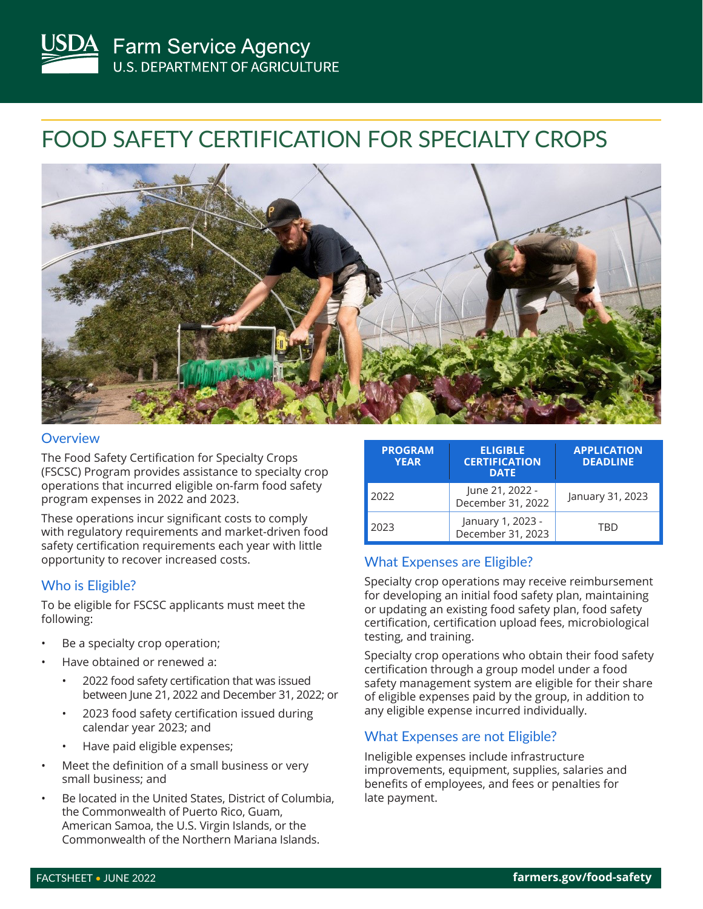# FOOD SAFETY CERTIFICATION FOR SPECIALTY CROPS



#### **Overview**

The Food Safety Certification for Specialty Crops (FSCSC) Program provides assistance to specialty crop operations that incurred eligible on-farm food safety program expenses in 2022 and 2023.

These operations incur significant costs to comply with regulatory requirements and market-driven food safety certification requirements each year with little opportunity to recover increased costs.

### Who is Eligible?

To be eligible for FSCSC applicants must meet the following:

- Be a specialty crop operation;
- Have obtained or renewed a:
	- 2022 food safety certification that was issued between June 21, 2022 and December 31, 2022; or
	- 2023 food safety certification issued during calendar year 2023; and
	- Have paid eligible expenses;
- Meet the definition of a small business or very small business; and
- Be located in the United States, District of Columbia, the Commonwealth of Puerto Rico, Guam, American Samoa, the U.S. Virgin Islands, or the Commonwealth of the Northern Mariana Islands.

| <b>PROGRAM</b><br><b>YEAR</b> | <b>ELIGIBLE</b><br><b>CERTIFICATION</b><br><b>DATE</b> | <b>APPLICATION</b><br><b>DEADLINE</b> |
|-------------------------------|--------------------------------------------------------|---------------------------------------|
| 2022                          | June 21, 2022 -<br>December 31, 2022                   | January 31, 2023                      |
| 2023                          | January 1, 2023 -<br>December 31, 2023                 | TRD                                   |

# What Expenses are Eligible?

Specialty crop operations may receive reimbursement for developing an initial food safety plan, maintaining or updating an existing food safety plan, food safety certification, certification upload fees, microbiological testing, and training.

Specialty crop operations who obtain their food safety certification through a group model under a food safety management system are eligible for their share of eligible expenses paid by the group, in addition to any eligible expense incurred individually.

## What Expenses are not Eligible?

Ineligible expenses include infrastructure improvements, equipment, supplies, salaries and benefits of employees, and fees or penalties for late payment.